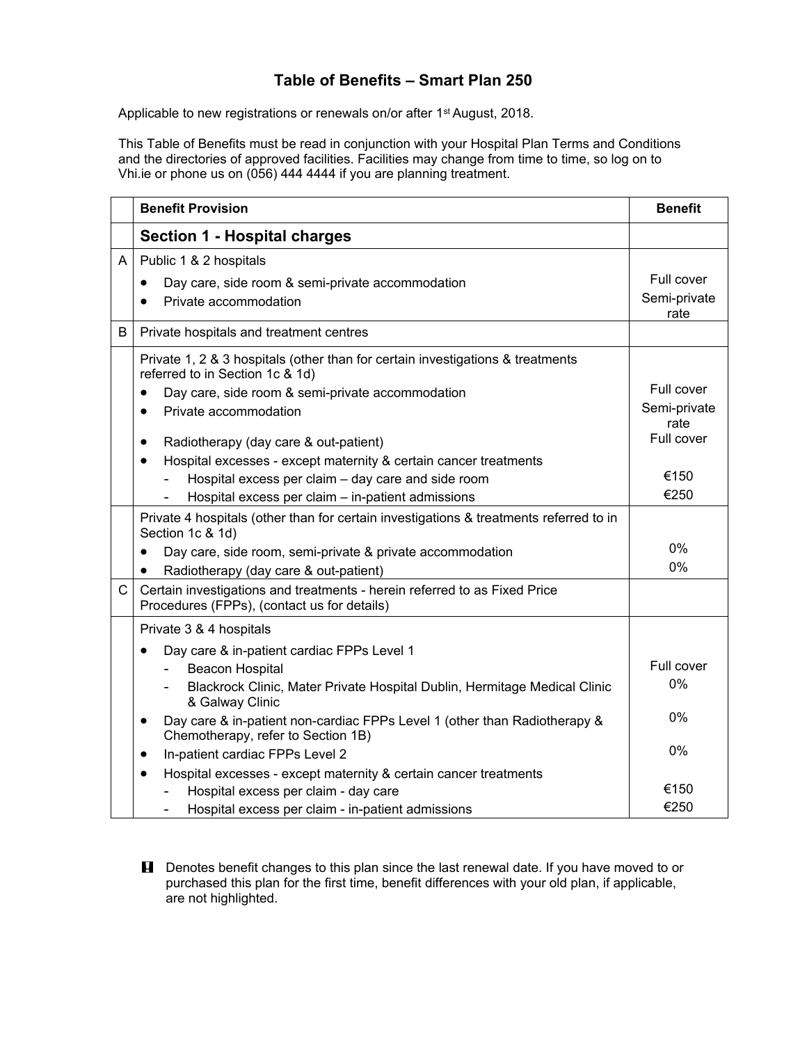## **Table of Benefits – Smart Plan 250**

Applicable to new registrations or renewals on/or after 1<sup>st</sup> August, 2018.

This Table of Benefits must be read in conjunction with your Hospital Plan Terms and Conditions and the directories of approved facilities. Facilities may change from time to time, so log on to Vhi.ie or phone us on (056) 444 4444 if you are planning treatment.

|   | <b>Benefit Provision</b>                                                                                                 | <b>Benefit</b>       |
|---|--------------------------------------------------------------------------------------------------------------------------|----------------------|
|   | <b>Section 1 - Hospital charges</b>                                                                                      |                      |
| A | Public 1 & 2 hospitals<br>Day care, side room & semi-private accommodation<br>٠                                          | Full cover           |
|   | Private accommodation<br>$\bullet$                                                                                       | Semi-private<br>rate |
| B | Private hospitals and treatment centres                                                                                  |                      |
|   | Private 1, 2 & 3 hospitals (other than for certain investigations & treatments<br>referred to in Section 1c & 1d)        |                      |
|   | Day care, side room & semi-private accommodation<br>$\bullet$                                                            | Full cover           |
|   | Private accommodation<br>$\bullet$                                                                                       | Semi-private<br>rate |
|   | Radiotherapy (day care & out-patient)<br>$\bullet$                                                                       | Full cover           |
|   | Hospital excesses - except maternity & certain cancer treatments<br>$\bullet$                                            |                      |
|   | Hospital excess per claim - day care and side room                                                                       | €150                 |
|   | Hospital excess per claim - in-patient admissions                                                                        | €250                 |
|   | Private 4 hospitals (other than for certain investigations & treatments referred to in<br>Section 1c & 1d)               |                      |
|   | Day care, side room, semi-private & private accommodation<br>$\bullet$                                                   | $0\%$                |
|   | Radiotherapy (day care & out-patient)                                                                                    | $0\%$                |
| C | Certain investigations and treatments - herein referred to as Fixed Price<br>Procedures (FPPs), (contact us for details) |                      |
|   | Private 3 & 4 hospitals                                                                                                  |                      |
|   | Day care & in-patient cardiac FPPs Level 1<br>$\bullet$                                                                  |                      |
|   | <b>Beacon Hospital</b>                                                                                                   | Full cover           |
|   | Blackrock Clinic, Mater Private Hospital Dublin, Hermitage Medical Clinic<br>& Galway Clinic                             | 0%                   |
|   | Day care & in-patient non-cardiac FPPs Level 1 (other than Radiotherapy &<br>٠<br>Chemotherapy, refer to Section 1B)     | 0%                   |
|   | In-patient cardiac FPPs Level 2<br>$\bullet$                                                                             | 0%                   |
|   | Hospital excesses - except maternity & certain cancer treatments<br>$\bullet$                                            |                      |
|   | Hospital excess per claim - day care                                                                                     | €150                 |
|   | Hospital excess per claim - in-patient admissions                                                                        | €250                 |

**H** Denotes benefit changes to this plan since the last renewal date. If you have moved to or purchased this plan for the first time, benefit differences with your old plan, if applicable, are not highlighted.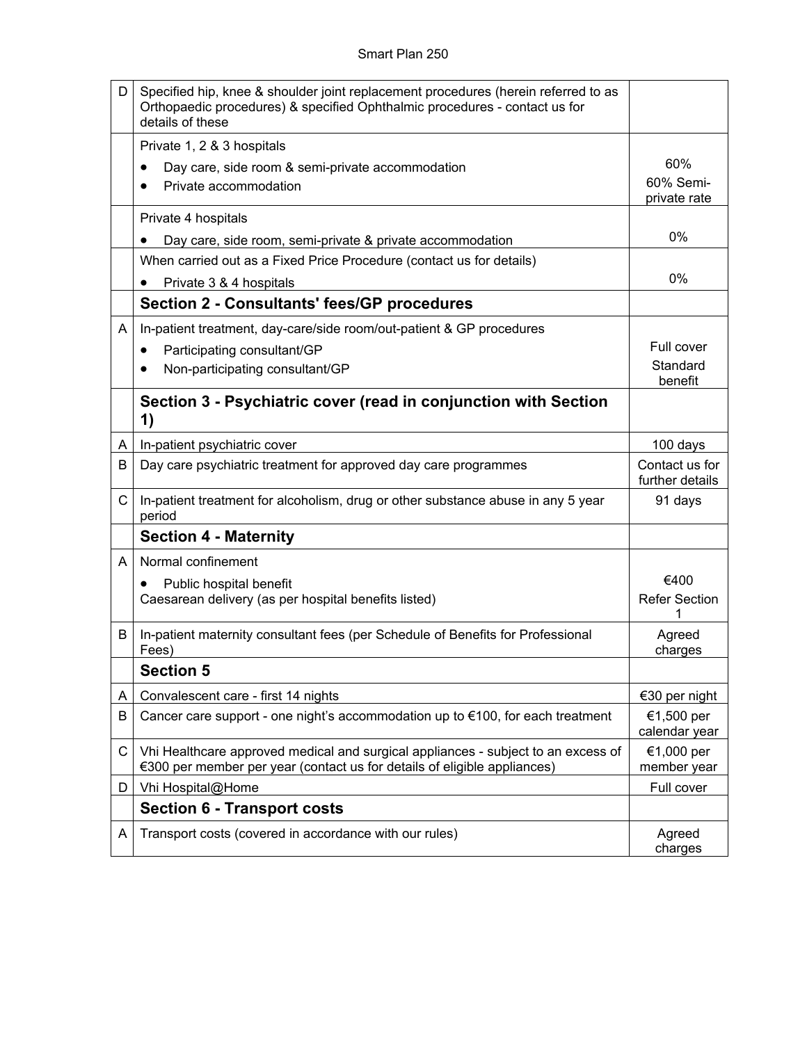| D  | Specified hip, knee & shoulder joint replacement procedures (herein referred to as<br>Orthopaedic procedures) & specified Ophthalmic procedures - contact us for<br>details of these |                                   |
|----|--------------------------------------------------------------------------------------------------------------------------------------------------------------------------------------|-----------------------------------|
|    | Private 1, 2 & 3 hospitals                                                                                                                                                           |                                   |
|    | Day care, side room & semi-private accommodation                                                                                                                                     | 60%                               |
|    | Private accommodation                                                                                                                                                                | 60% Semi-<br>private rate         |
|    | Private 4 hospitals                                                                                                                                                                  |                                   |
|    | Day care, side room, semi-private & private accommodation                                                                                                                            | 0%                                |
|    | When carried out as a Fixed Price Procedure (contact us for details)                                                                                                                 |                                   |
|    | Private 3 & 4 hospitals<br>$\bullet$                                                                                                                                                 | 0%                                |
|    | <b>Section 2 - Consultants' fees/GP procedures</b>                                                                                                                                   |                                   |
| A  | In-patient treatment, day-care/side room/out-patient & GP procedures                                                                                                                 |                                   |
|    | Participating consultant/GP<br>٠                                                                                                                                                     | Full cover                        |
|    | Non-participating consultant/GP<br>٠                                                                                                                                                 | Standard<br>benefit               |
|    | Section 3 - Psychiatric cover (read in conjunction with Section<br>1)                                                                                                                |                                   |
| A  | In-patient psychiatric cover                                                                                                                                                         | 100 days                          |
| B  | Day care psychiatric treatment for approved day care programmes                                                                                                                      | Contact us for<br>further details |
| C  | In-patient treatment for alcoholism, drug or other substance abuse in any 5 year<br>period                                                                                           | 91 days                           |
|    | <b>Section 4 - Maternity</b>                                                                                                                                                         |                                   |
| A  | Normal confinement                                                                                                                                                                   |                                   |
|    | Public hospital benefit                                                                                                                                                              | €400                              |
|    | Caesarean delivery (as per hospital benefits listed)                                                                                                                                 | <b>Refer Section</b><br>1         |
| B  | In-patient maternity consultant fees (per Schedule of Benefits for Professional<br>Fees)                                                                                             | Agreed<br>charges                 |
|    | <b>Section 5</b>                                                                                                                                                                     |                                   |
| A  | Convalescent care - first 14 nights                                                                                                                                                  | €30 per night                     |
| B  | Cancer care support - one night's accommodation up to $\epsilon$ 100, for each treatment                                                                                             | €1,500 per<br>calendar year       |
| C  | Vhi Healthcare approved medical and surgical appliances - subject to an excess of<br>€300 per member per year (contact us for details of eligible appliances)                        | €1,000 per<br>member year         |
| D. | Vhi Hospital@Home                                                                                                                                                                    | Full cover                        |
|    | <b>Section 6 - Transport costs</b>                                                                                                                                                   |                                   |
| A  | Transport costs (covered in accordance with our rules)                                                                                                                               | Agreed<br>charges                 |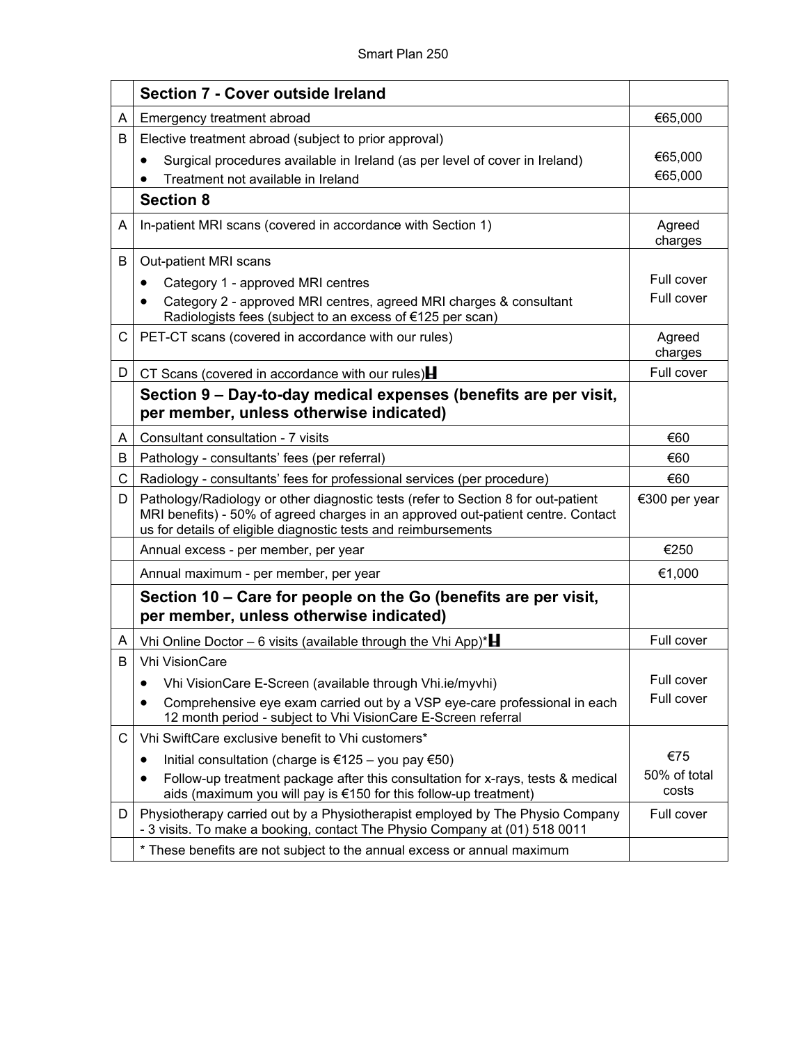|    | <b>Section 7 - Cover outside Ireland</b>                                                                                                                                                                                                |                       |
|----|-----------------------------------------------------------------------------------------------------------------------------------------------------------------------------------------------------------------------------------------|-----------------------|
| A  | Emergency treatment abroad                                                                                                                                                                                                              | €65,000               |
| B  | Elective treatment abroad (subject to prior approval)                                                                                                                                                                                   |                       |
|    | Surgical procedures available in Ireland (as per level of cover in Ireland)<br>$\bullet$                                                                                                                                                | €65,000               |
|    | Treatment not available in Ireland                                                                                                                                                                                                      | €65,000               |
|    | <b>Section 8</b>                                                                                                                                                                                                                        |                       |
| A  | In-patient MRI scans (covered in accordance with Section 1)                                                                                                                                                                             | Agreed<br>charges     |
| B  | Out-patient MRI scans                                                                                                                                                                                                                   |                       |
|    | Category 1 - approved MRI centres<br>$\bullet$                                                                                                                                                                                          | Full cover            |
|    | Category 2 - approved MRI centres, agreed MRI charges & consultant<br>٠<br>Radiologists fees (subject to an excess of €125 per scan)                                                                                                    | Full cover            |
| C. | PET-CT scans (covered in accordance with our rules)                                                                                                                                                                                     | Agreed<br>charges     |
| D. | CT Scans (covered in accordance with our rules) $\blacksquare$                                                                                                                                                                          | Full cover            |
|    | Section 9 – Day-to-day medical expenses (benefits are per visit,<br>per member, unless otherwise indicated)                                                                                                                             |                       |
| A  | Consultant consultation - 7 visits                                                                                                                                                                                                      | €60                   |
| B  | Pathology - consultants' fees (per referral)                                                                                                                                                                                            | €60                   |
| C. | Radiology - consultants' fees for professional services (per procedure)                                                                                                                                                                 | €60                   |
| D  | Pathology/Radiology or other diagnostic tests (refer to Section 8 for out-patient<br>MRI benefits) - 50% of agreed charges in an approved out-patient centre. Contact<br>us for details of eligible diagnostic tests and reimbursements | €300 per year         |
|    | Annual excess - per member, per year                                                                                                                                                                                                    | €250                  |
|    | Annual maximum - per member, per year                                                                                                                                                                                                   | €1,000                |
|    | Section 10 - Care for people on the Go (benefits are per visit,<br>per member, unless otherwise indicated)                                                                                                                              |                       |
| A. | Vhi Online Doctor - 6 visits (available through the Vhi App)* $\blacksquare$                                                                                                                                                            | Full cover            |
| B  | Vhi VisionCare                                                                                                                                                                                                                          |                       |
|    | Vhi VisionCare E-Screen (available through Vhi.ie/myvhi)<br>$\bullet$                                                                                                                                                                   | Full cover            |
|    | Comprehensive eye exam carried out by a VSP eye-care professional in each<br>$\bullet$<br>12 month period - subject to Vhi VisionCare E-Screen referral                                                                                 | Full cover            |
| C. | Vhi SwiftCare exclusive benefit to Vhi customers*                                                                                                                                                                                       |                       |
|    | Initial consultation (charge is €125 – you pay €50)<br>٠                                                                                                                                                                                | €75                   |
|    | Follow-up treatment package after this consultation for x-rays, tests & medical<br>aids (maximum you will pay is €150 for this follow-up treatment)                                                                                     | 50% of total<br>costs |
| D  | Physiotherapy carried out by a Physiotherapist employed by The Physio Company<br>- 3 visits. To make a booking, contact The Physio Company at (01) 518 0011                                                                             | Full cover            |
|    | * These benefits are not subject to the annual excess or annual maximum                                                                                                                                                                 |                       |